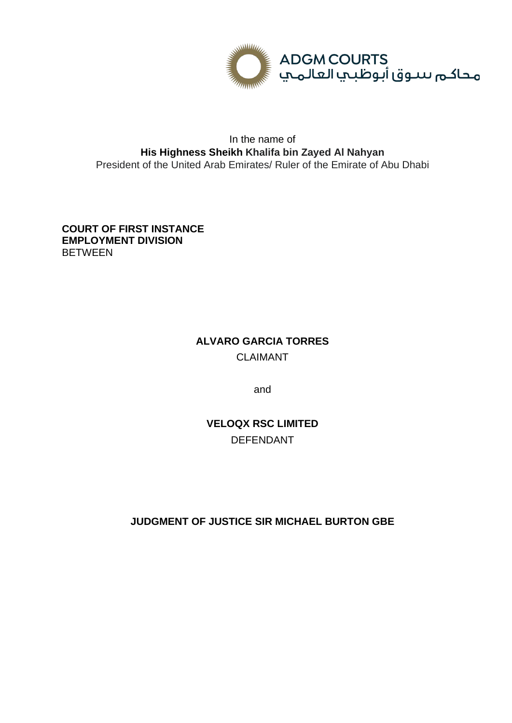

## In the name of **His Highness Sheikh Khalifa bin Zayed Al Nahyan** President of the United Arab Emirates/ Ruler of the Emirate of Abu Dhabi

**COURT OF FIRST INSTANCE EMPLOYMENT DIVISION BETWEEN** 

# **ALVARO GARCIA TORRES** CLAIMANT

and

**VELOQX RSC LIMITED** DEFENDANT

**JUDGMENT OF JUSTICE SIR MICHAEL BURTON GBE**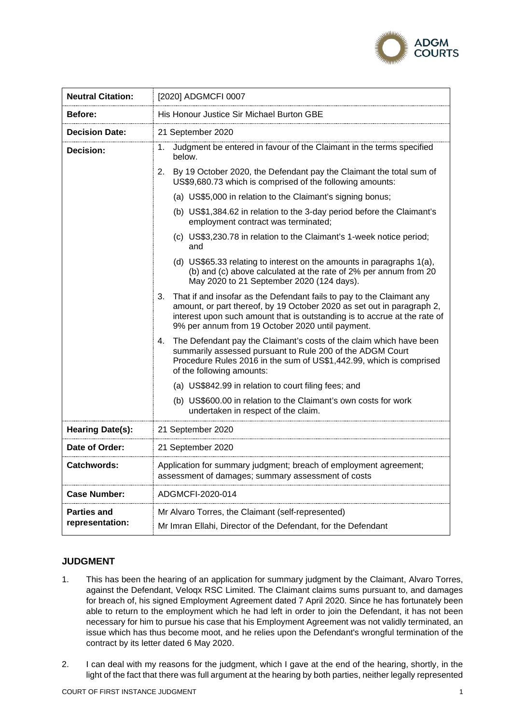

| <b>Neutral Citation:</b>              | [2020] ADGMCFI 0007                                                                                                                                                                                                                                                                    |
|---------------------------------------|----------------------------------------------------------------------------------------------------------------------------------------------------------------------------------------------------------------------------------------------------------------------------------------|
| Before:                               | His Honour Justice Sir Michael Burton GBE                                                                                                                                                                                                                                              |
| <b>Decision Date:</b>                 | 21 September 2020                                                                                                                                                                                                                                                                      |
| Decision:                             | Judgment be entered in favour of the Claimant in the terms specified<br>1.<br>below.                                                                                                                                                                                                   |
|                                       | 2. By 19 October 2020, the Defendant pay the Claimant the total sum of<br>US\$9,680.73 which is comprised of the following amounts:                                                                                                                                                    |
|                                       | (a) US\$5,000 in relation to the Claimant's signing bonus;                                                                                                                                                                                                                             |
|                                       | (b) US\$1,384.62 in relation to the 3-day period before the Claimant's<br>employment contract was terminated;                                                                                                                                                                          |
|                                       | (c) US\$3,230.78 in relation to the Claimant's 1-week notice period;<br>and                                                                                                                                                                                                            |
|                                       | (d) US\$65.33 relating to interest on the amounts in paragraphs 1(a),<br>(b) and (c) above calculated at the rate of 2% per annum from 20<br>May 2020 to 21 September 2020 (124 days).                                                                                                 |
|                                       | That if and insofar as the Defendant fails to pay to the Claimant any<br>3.<br>amount, or part thereof, by 19 October 2020 as set out in paragraph 2,<br>interest upon such amount that is outstanding is to accrue at the rate of<br>9% per annum from 19 October 2020 until payment. |
|                                       | The Defendant pay the Claimant's costs of the claim which have been<br>4.<br>summarily assessed pursuant to Rule 200 of the ADGM Court<br>Procedure Rules 2016 in the sum of US\$1,442.99, which is comprised<br>of the following amounts:                                             |
|                                       | (a) US\$842.99 in relation to court filing fees; and                                                                                                                                                                                                                                   |
|                                       | (b) US\$600.00 in relation to the Claimant's own costs for work<br>undertaken in respect of the claim.                                                                                                                                                                                 |
| Hearing Date(s):                      | 21 September 2020                                                                                                                                                                                                                                                                      |
| Date of Order:                        | 21 September 2020                                                                                                                                                                                                                                                                      |
| Catchwords:                           | Application for summary judgment; breach of employment agreement;<br>assessment of damages; summary assessment of costs                                                                                                                                                                |
| <b>Case Number:</b>                   | ADGMCFI-2020-014                                                                                                                                                                                                                                                                       |
| <b>Parties and</b><br>representation: | Mr Alvaro Torres, the Claimant (self-represented)<br>Mr Imran Ellahi, Director of the Defendant, for the Defendant                                                                                                                                                                     |

### **JUDGMENT**

- 1. This has been the hearing of an application for summary judgment by the Claimant, Alvaro Torres, against the Defendant, Veloqx RSC Limited. The Claimant claims sums pursuant to, and damages for breach of, his signed Employment Agreement dated 7 April 2020. Since he has fortunately been able to return to the employment which he had left in order to join the Defendant, it has not been necessary for him to pursue his case that his Employment Agreement was not validly terminated, an issue which has thus become moot, and he relies upon the Defendant's wrongful termination of the contract by its letter dated 6 May 2020.
- 2. I can deal with my reasons for the judgment, which I gave at the end of the hearing, shortly, in the light of the fact that there was full argument at the hearing by both parties, neither legally represented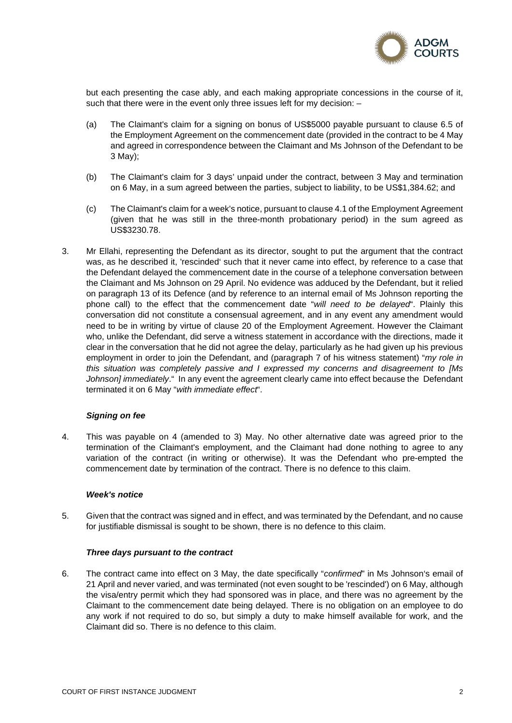

but each presenting the case ably, and each making appropriate concessions in the course of it, such that there were in the event only three issues left for my decision: –

- (a) The Claimant's claim for a signing on bonus of US\$5000 payable pursuant to clause 6.5 of the Employment Agreement on the commencement date (provided in the contract to be 4 May and agreed in correspondence between the Claimant and Ms Johnson of the Defendant to be 3 May);
- (b) The Claimant's claim for 3 days' unpaid under the contract, between 3 May and termination on 6 May, in a sum agreed between the parties, subject to liability, to be US\$1,384.62; and
- (c) The Claimant's claim for a week's notice, pursuant to clause 4.1 of the Employment Agreement (given that he was still in the three-month probationary period) in the sum agreed as US\$3230.78.
- 3. Mr Ellahi, representing the Defendant as its director, sought to put the argument that the contract was, as he described it, 'rescinded' such that it never came into effect, by reference to a case that the Defendant delayed the commencement date in the course of a telephone conversation between the Claimant and Ms Johnson on 29 April. No evidence was adduced by the Defendant, but it relied on paragraph 13 of its Defence (and by reference to an internal email of Ms Johnson reporting the phone call) to the effect that the commencement date "*will need to be delayed*". Plainly this conversation did not constitute a consensual agreement, and in any event any amendment would need to be in writing by virtue of clause 20 of the Employment Agreement. However the Claimant who, unlike the Defendant, did serve a witness statement in accordance with the directions, made it clear in the conversation that he did not agree the delay, particularly as he had given up his previous employment in order to join the Defendant, and (paragraph 7 of his witness statement) "*my role in this situation was completely passive and I expressed my concerns and disagreement to [Ms Johnson] immediately*." In any event the agreement clearly came into effect because the Defendant terminated it on 6 May "*with immediate effect*".

#### *Signing on fee*

4. This was payable on 4 (amended to 3) May. No other alternative date was agreed prior to the termination of the Claimant's employment, and the Claimant had done nothing to agree to any variation of the contract (in writing or otherwise). It was the Defendant who pre-empted the commencement date by termination of the contract. There is no defence to this claim.

#### *Week's notice*

5. Given that the contract was signed and in effect, and was terminated by the Defendant, and no cause for justifiable dismissal is sought to be shown, there is no defence to this claim.

#### *Three days pursuant to the contract*

6. The contract came into effect on 3 May, the date specifically "*confirmed*" in Ms Johnson's email of 21 April and never varied, and was terminated (not even sought to be 'rescinded') on 6 May, although the visa/entry permit which they had sponsored was in place, and there was no agreement by the Claimant to the commencement date being delayed. There is no obligation on an employee to do any work if not required to do so, but simply a duty to make himself available for work, and the Claimant did so. There is no defence to this claim.